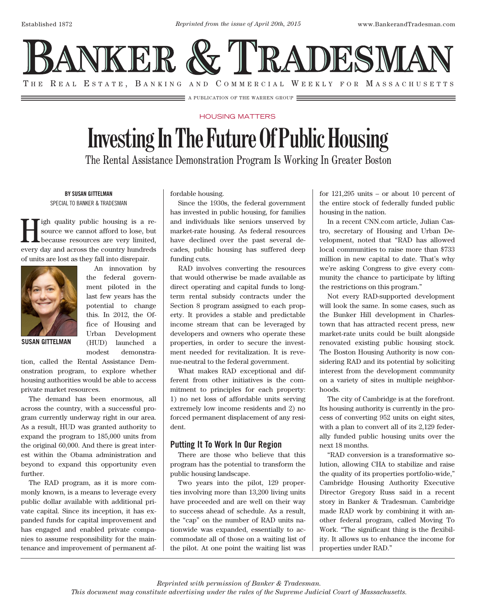

## HOUSING MATTERS

A PUBLICATION OF THE WARREN GROUP **EXECUTES** 

## **Investing In The Future Of Public Housing**

The Rental Assistance Demonstration Program Is Working In Greater Boston

BY SUSAN GITTELMAN SPECIAL TO BANKER & TRADESMAN

**High quality public housing is a re-**<br>source we cannot afford to lose, but<br>because resources are very limited, source we cannot afford to lose, but because resources are very limited, every day and across the country hundreds of units are lost as they fall into disrepair.



An innovation by the federal government piloted in the last few years has the potential to change this. In 2012, the Office of Housing and Urban Development (HUD) launched a modest demonstra-

**SUSAN GITTELMAN**

tion, called the Rental Assistance Demonstration program, to explore whether housing authorities would be able to access private market resources.

The demand has been enormous, all across the country, with a successful program currently underway right in our area. As a result, HUD was granted authority to expand the program to 185,000 units from the original 60,000. And there is great interest within the Obama administration and beyond to expand this opportunity even further.

The RAD program, as it is more commonly known, is a means to leverage every public dollar available with additional private capital. Since its inception, it has expanded funds for capital improvement and has engaged and enabled private companies to assume responsibility for the maintenance and improvement of permanent affordable housing.

Since the 1930s, the federal government has invested in public housing, for families and individuals like seniors unserved by market-rate housing. As federal resources have declined over the past several decades, public housing has suffered deep funding cuts.

RAD involves converting the resources that would otherwise be made available as direct operating and capital funds to longterm rental subsidy contracts under the Section 8 program assigned to each property. It provides a stable and predictable income stream that can be leveraged by developers and owners who operate these properties, in order to secure the investment needed for revitalization. It is revenue-neutral to the federal government.

What makes RAD exceptional and different from other initiatives is the commitment to principles for each property: 1) no net loss of affordable units serving extremely low income residents and 2) no forced permanent displacement of any resident.

## Putting It To Work In Our Region

There are those who believe that this program has the potential to transform the public housing landscape.

Two years into the pilot, 129 properties involving more than 13,200 living units have proceeded and are well on their way to success ahead of schedule. As a result, the "cap" on the number of RAD units nationwide was expanded, essentially to accommodate all of those on a waiting list of the pilot. At one point the waiting list was

for 121,295 units – or about 10 percent of the entire stock of federally funded public housing in the nation.

In a recent CNN.com article, Julian Castro, secretary of Housing and Urban Development, noted that "RAD has allowed local communities to raise more than \$733 million in new capital to date. That's why we're asking Congress to give every community the chance to participate by lifting the restrictions on this program."

Not every RAD-supported development will look the same. In some cases, such as the Bunker Hill development in Charlestown that has attracted recent press, new market-rate units could be built alongside renovated existing public housing stock. The Boston Housing Authority is now considering RAD and its potential by soliciting interest from the development community on a variety of sites in multiple neighborhoods.

The city of Cambridge is at the forefront. Its housing authority is currently in the process of converting 952 units on eight sites, with a plan to convert all of its 2,129 federally funded public housing units over the next 18 months.

"RAD conversion is a transformative solution, allowing CHA to stabilize and raise the quality of its properties portfolio-wide," Cambridge Housing Authority Executive Director Gregory Russ said in a recent story in Banker & Tradesman. Cambridge made RAD work by combining it with another federal program, called Moving To Work. "The significant thing is the flexibility. It allows us to enhance the income for properties under RAD."